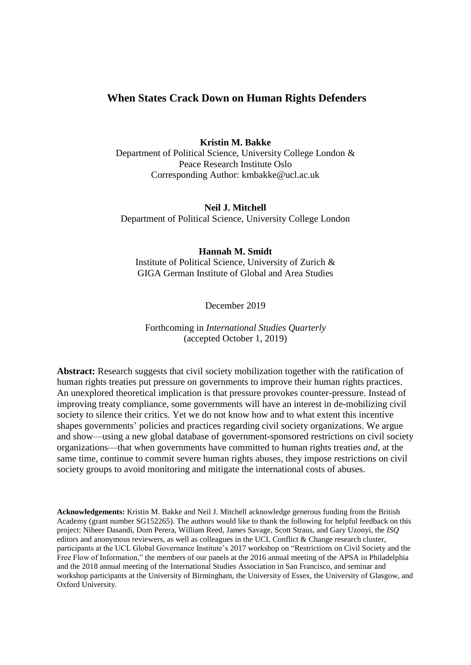# **When States Crack Down on Human Rights Defenders**

**Kristin M. Bakke** Department of Political Science, University College London & Peace Research Institute Oslo Corresponding Author: kmbakke@ucl.ac.uk

**Neil J. Mitchell** Department of Political Science, University College London

### **Hannah M. Smidt**

Institute of Political Science, University of Zurich & GIGA German Institute of Global and Area Studies

December 2019

## Forthcoming in *International Studies Quarterly* (accepted October 1, 2019)

**Abstract:** Research suggests that civil society mobilization together with the ratification of human rights treaties put pressure on governments to improve their human rights practices. An unexplored theoretical implication is that pressure provokes counter-pressure. Instead of improving treaty compliance, some governments will have an interest in de-mobilizing civil society to silence their critics. Yet we do not know how and to what extent this incentive shapes governments' policies and practices regarding civil society organizations. We argue and show—using a new global database of government-sponsored restrictions on civil society organizations—that when governments have committed to human rights treaties *and*, at the same time, continue to commit severe human rights abuses, they impose restrictions on civil society groups to avoid monitoring and mitigate the international costs of abuses.

**Acknowledgements:** Kristin M. Bakke and Neil J. Mitchell acknowledge generous funding from the British Academy (grant number SG152265). The authors would like to thank the following for helpful feedback on this project: Niheer Dasandi, Dom Perera, William Reed, James Savage, Scott Straus, and Gary Uzonyi, the *ISQ* editors and anonymous reviewers, as well as colleagues in the UCL Conflict & Change research cluster, participants at the UCL Global Governance Institute's 2017 workshop on "Restrictions on Civil Society and the Free Flow of Information," the members of our panels at the 2016 annual meeting of the APSA in Philadelphia and the 2018 annual meeting of the International Studies Association in San Francisco, and seminar and workshop participants at the University of Birmingham, the University of Essex, the University of Glasgow, and Oxford University.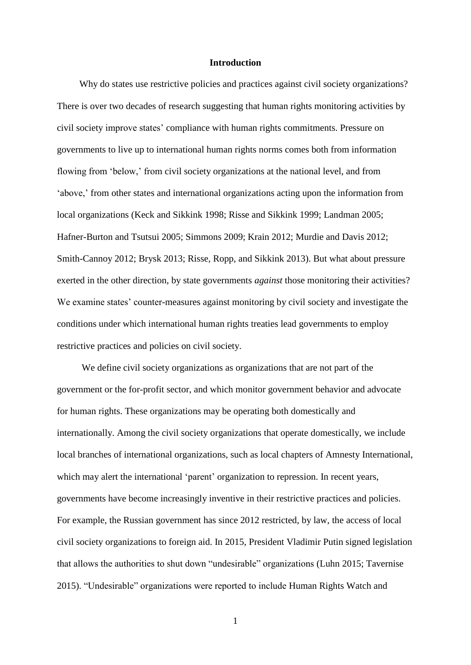#### **Introduction**

Why do states use restrictive policies and practices against civil society organizations? There is over two decades of research suggesting that human rights monitoring activities by civil society improve states' compliance with human rights commitments. Pressure on governments to live up to international human rights norms comes both from information flowing from 'below,' from civil society organizations at the national level, and from 'above,' from other states and international organizations acting upon the information from local organizations (Keck and Sikkink 1998; Risse and Sikkink 1999; Landman 2005; Hafner-Burton and Tsutsui 2005; Simmons 2009; Krain 2012; Murdie and Davis 2012; Smith-Cannoy 2012; Brysk 2013; Risse, Ropp, and Sikkink 2013). But what about pressure exerted in the other direction, by state governments *against* those monitoring their activities? We examine states' counter-measures against monitoring by civil society and investigate the conditions under which international human rights treaties lead governments to employ restrictive practices and policies on civil society.

We define civil society organizations as organizations that are not part of the government or the for-profit sector, and which monitor government behavior and advocate for human rights. These organizations may be operating both domestically and internationally. Among the civil society organizations that operate domestically, we include local branches of international organizations, such as local chapters of Amnesty International, which may alert the international 'parent' organization to repression. In recent years, governments have become increasingly inventive in their restrictive practices and policies. For example, the Russian government has since 2012 restricted, by law, the access of local civil society organizations to foreign aid. In 2015, President Vladimir Putin signed legislation that allows the authorities to shut down "undesirable" organizations (Luhn 2015; Tavernise 2015). "Undesirable" organizations were reported to include Human Rights Watch and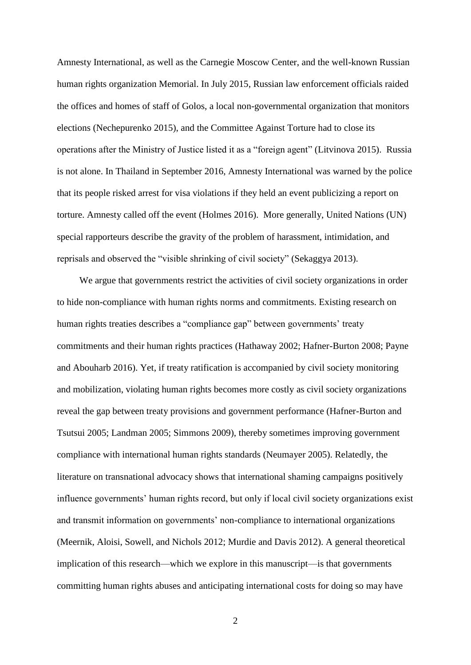Amnesty International, as well as the Carnegie Moscow Center, and the well-known Russian human rights organization Memorial. In July 2015, Russian law enforcement officials raided the offices and homes of staff of Golos, a local non-governmental organization that monitors elections (Nechepurenko 2015), and the Committee Against Torture had to close its operations after the Ministry of Justice listed it as a "foreign agent" (Litvinova 2015). Russia is not alone. In Thailand in September 2016, Amnesty International was warned by the police that its people risked arrest for visa violations if they held an event publicizing a report on torture. Amnesty called off the event (Holmes 2016). More generally, United Nations (UN) special rapporteurs describe the gravity of the problem of harassment, intimidation, and reprisals and observed the "visible shrinking of civil society" (Sekaggya 2013).

We argue that governments restrict the activities of civil society organizations in order to hide non-compliance with human rights norms and commitments. Existing research on human rights treaties describes a "compliance gap" between governments' treaty commitments and their human rights practices (Hathaway 2002; Hafner-Burton 2008; Payne and Abouharb 2016). Yet, if treaty ratification is accompanied by civil society monitoring and mobilization, violating human rights becomes more costly as civil society organizations reveal the gap between treaty provisions and government performance (Hafner-Burton and Tsutsui 2005; Landman 2005; Simmons 2009), thereby sometimes improving government compliance with international human rights standards (Neumayer 2005). Relatedly, the literature on transnational advocacy shows that international shaming campaigns positively influence governments' human rights record, but only if local civil society organizations exist and transmit information on governments' non-compliance to international organizations (Meernik, Aloisi, Sowell, and Nichols 2012; Murdie and Davis 2012). A general theoretical implication of this research—which we explore in this manuscript—is that governments committing human rights abuses and anticipating international costs for doing so may have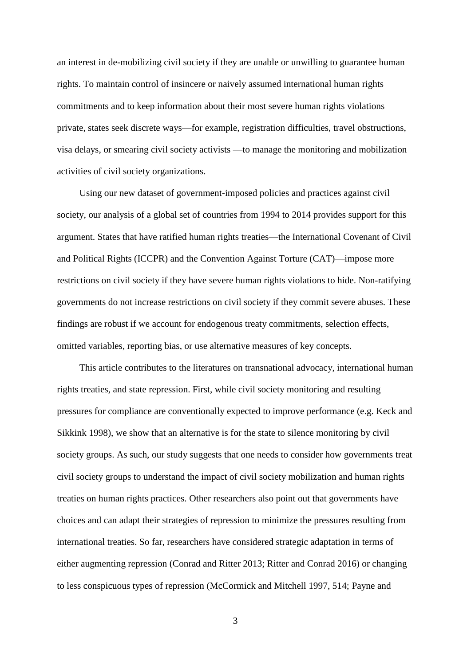an interest in de-mobilizing civil society if they are unable or unwilling to guarantee human rights. To maintain control of insincere or naively assumed international human rights commitments and to keep information about their most severe human rights violations private, states seek discrete ways—for example, registration difficulties, travel obstructions, visa delays, or smearing civil society activists —to manage the monitoring and mobilization activities of civil society organizations.

Using our new dataset of government-imposed policies and practices against civil society, our analysis of a global set of countries from 1994 to 2014 provides support for this argument. States that have ratified human rights treaties—the International Covenant of Civil and Political Rights (ICCPR) and the Convention Against Torture (CAT)—impose more restrictions on civil society if they have severe human rights violations to hide. Non-ratifying governments do not increase restrictions on civil society if they commit severe abuses. These findings are robust if we account for endogenous treaty commitments, selection effects, omitted variables, reporting bias, or use alternative measures of key concepts.

This article contributes to the literatures on transnational advocacy, international human rights treaties, and state repression. First, while civil society monitoring and resulting pressures for compliance are conventionally expected to improve performance (e.g. Keck and Sikkink 1998), we show that an alternative is for the state to silence monitoring by civil society groups. As such, our study suggests that one needs to consider how governments treat civil society groups to understand the impact of civil society mobilization and human rights treaties on human rights practices. Other researchers also point out that governments have choices and can adapt their strategies of repression to minimize the pressures resulting from international treaties. So far, researchers have considered strategic adaptation in terms of either augmenting repression (Conrad and Ritter 2013; Ritter and Conrad 2016) or changing to less conspicuous types of repression (McCormick and Mitchell 1997, 514; Payne and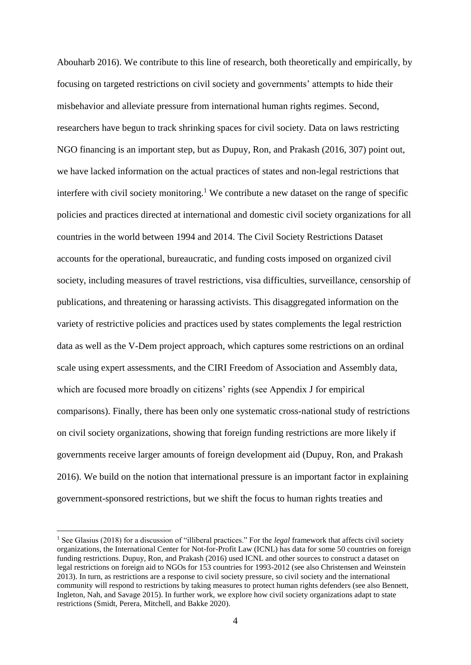Abouharb 2016). We contribute to this line of research, both theoretically and empirically, by focusing on targeted restrictions on civil society and governments' attempts to hide their misbehavior and alleviate pressure from international human rights regimes. Second, researchers have begun to track shrinking spaces for civil society. Data on laws restricting NGO financing is an important step, but as Dupuy, Ron, and Prakash (2016, 307) point out, we have lacked information on the actual practices of states and non-legal restrictions that interfere with civil society monitoring.<sup>1</sup> We contribute a new dataset on the range of specific policies and practices directed at international and domestic civil society organizations for all countries in the world between 1994 and 2014. The Civil Society Restrictions Dataset accounts for the operational, bureaucratic, and funding costs imposed on organized civil society, including measures of travel restrictions, visa difficulties, surveillance, censorship of publications, and threatening or harassing activists. This disaggregated information on the variety of restrictive policies and practices used by states complements the legal restriction data as well as the V-Dem project approach, which captures some restrictions on an ordinal scale using expert assessments, and the CIRI Freedom of Association and Assembly data, which are focused more broadly on citizens' rights (see Appendix J for empirical comparisons). Finally, there has been only one systematic cross-national study of restrictions on civil society organizations, showing that foreign funding restrictions are more likely if governments receive larger amounts of foreign development aid (Dupuy, Ron, and Prakash 2016). We build on the notion that international pressure is an important factor in explaining government-sponsored restrictions, but we shift the focus to human rights treaties and

<u>.</u>

<sup>1</sup> See Glasius (2018) for a discussion of "illiberal practices." For the *legal* framework that affects civil society organizations, the International Center for Not-for-Profit Law (ICNL) has data for some 50 countries on foreign funding restrictions. Dupuy, Ron, and Prakash (2016) used ICNL and other sources to construct a dataset on legal restrictions on foreign aid to NGOs for 153 countries for 1993-2012 (see also Christensen and Weinstein 2013). In turn, as restrictions are a response to civil society pressure, so civil society and the international community will respond to restrictions by taking measures to protect human rights defenders (see also Bennett, Ingleton, Nah, and Savage 2015). In further work, we explore how civil society organizations adapt to state restrictions (Smidt, Perera, Mitchell, and Bakke 2020).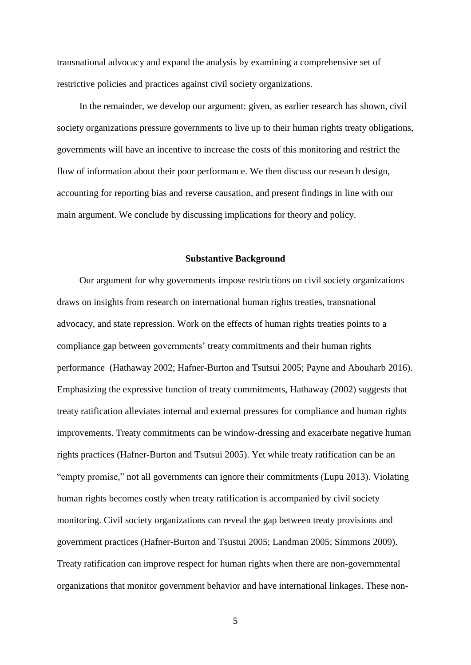transnational advocacy and expand the analysis by examining a comprehensive set of restrictive policies and practices against civil society organizations.

In the remainder, we develop our argument: given, as earlier research has shown, civil society organizations pressure governments to live up to their human rights treaty obligations, governments will have an incentive to increase the costs of this monitoring and restrict the flow of information about their poor performance. We then discuss our research design, accounting for reporting bias and reverse causation, and present findings in line with our main argument. We conclude by discussing implications for theory and policy.

#### **Substantive Background**

Our argument for why governments impose restrictions on civil society organizations draws on insights from research on international human rights treaties, transnational advocacy, and state repression. Work on the effects of human rights treaties points to a compliance gap between governments' treaty commitments and their human rights performance (Hathaway 2002; Hafner-Burton and Tsutsui 2005; Payne and Abouharb 2016). Emphasizing the expressive function of treaty commitments, Hathaway (2002) suggests that treaty ratification alleviates internal and external pressures for compliance and human rights improvements. Treaty commitments can be window-dressing and exacerbate negative human rights practices (Hafner-Burton and Tsutsui 2005). Yet while treaty ratification can be an "empty promise," not all governments can ignore their commitments (Lupu 2013). Violating human rights becomes costly when treaty ratification is accompanied by civil society monitoring. Civil society organizations can reveal the gap between treaty provisions and government practices (Hafner-Burton and Tsustui 2005; Landman 2005; Simmons 2009). Treaty ratification can improve respect for human rights when there are non-governmental organizations that monitor government behavior and have international linkages. These non-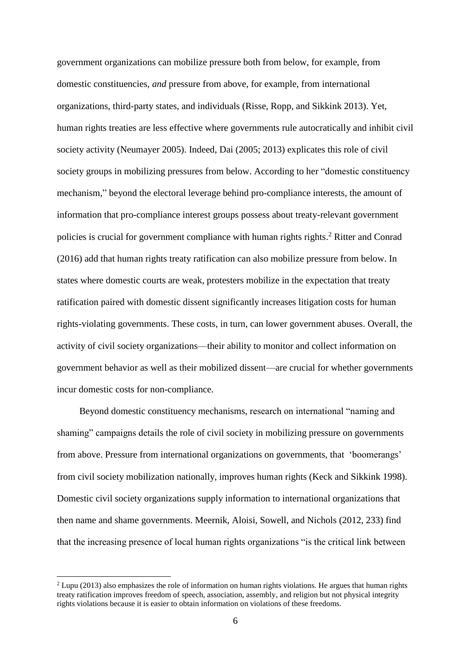government organizations can mobilize pressure both from below, for example, from domestic constituencies, *and* pressure from above, for example, from international organizations, third-party states, and individuals (Risse, Ropp, and Sikkink 2013). Yet, human rights treaties are less effective where governments rule autocratically and inhibit civil society activity (Neumayer 2005). Indeed, Dai (2005; 2013) explicates this role of civil society groups in mobilizing pressures from below. According to her "domestic constituency mechanism," beyond the electoral leverage behind pro-compliance interests, the amount of information that pro-compliance interest groups possess about treaty-relevant government policies is crucial for government compliance with human rights rights.<sup>2</sup> Ritter and Conrad (2016) add that human rights treaty ratification can also mobilize pressure from below. In states where domestic courts are weak, protesters mobilize in the expectation that treaty ratification paired with domestic dissent significantly increases litigation costs for human rights-violating governments. These costs, in turn, can lower government abuses. Overall, the activity of civil society organizations—their ability to monitor and collect information on government behavior as well as their mobilized dissent—are crucial for whether governments incur domestic costs for non-compliance.

Beyond domestic constituency mechanisms, research on international "naming and shaming" campaigns details the role of civil society in mobilizing pressure on governments from above. Pressure from international organizations on governments, that 'boomerangs' from civil society mobilization nationally, improves human rights (Keck and Sikkink 1998). Domestic civil society organizations supply information to international organizations that then name and shame governments. Meernik, Aloisi, Sowell, and Nichols (2012, 233) find that the increasing presence of local human rights organizations "is the critical link between

<sup>2</sup> Lupu (2013) also emphasizes the role of information on human rights violations. He argues that human rights treaty ratification improves freedom of speech, association, assembly, and religion but not physical integrity rights violations because it is easier to obtain information on violations of these freedoms.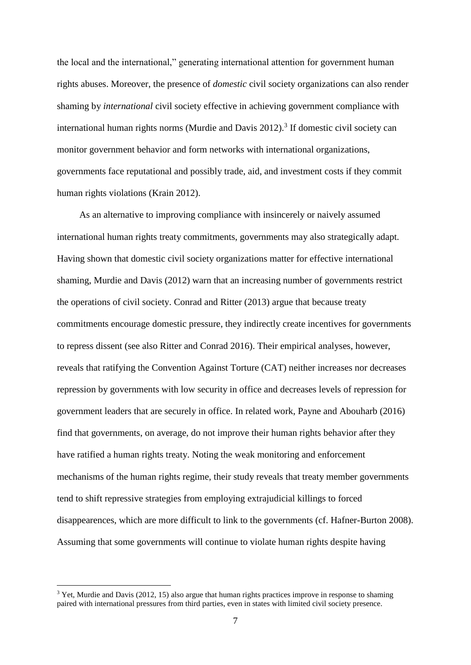the local and the international," generating international attention for government human rights abuses. Moreover, the presence of *domestic* civil society organizations can also render shaming by *international* civil society effective in achieving government compliance with international human rights norms (Murdie and Davis  $2012$ ).<sup>3</sup> If domestic civil society can monitor government behavior and form networks with international organizations, governments face reputational and possibly trade, aid, and investment costs if they commit human rights violations (Krain 2012).

As an alternative to improving compliance with insincerely or naively assumed international human rights treaty commitments, governments may also strategically adapt. Having shown that domestic civil society organizations matter for effective international shaming, Murdie and Davis (2012) warn that an increasing number of governments restrict the operations of civil society. Conrad and Ritter (2013) argue that because treaty commitments encourage domestic pressure, they indirectly create incentives for governments to repress dissent (see also Ritter and Conrad 2016). Their empirical analyses, however, reveals that ratifying the Convention Against Torture (CAT) neither increases nor decreases repression by governments with low security in office and decreases levels of repression for government leaders that are securely in office. In related work, Payne and Abouharb (2016) find that governments, on average, do not improve their human rights behavior after they have ratified a human rights treaty. Noting the weak monitoring and enforcement mechanisms of the human rights regime, their study reveals that treaty member governments tend to shift repressive strategies from employing extrajudicial killings to forced disappearences, which are more difficult to link to the governments (cf. Hafner-Burton 2008). Assuming that some governments will continue to violate human rights despite having

<sup>&</sup>lt;sup>3</sup> Yet, Murdie and Davis (2012, 15) also argue that human rights practices improve in response to shaming paired with international pressures from third parties, even in states with limited civil society presence.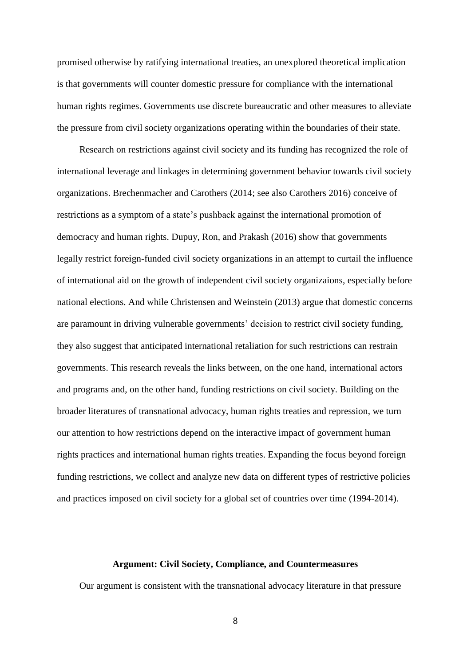promised otherwise by ratifying international treaties, an unexplored theoretical implication is that governments will counter domestic pressure for compliance with the international human rights regimes. Governments use discrete bureaucratic and other measures to alleviate the pressure from civil society organizations operating within the boundaries of their state.

Research on restrictions against civil society and its funding has recognized the role of international leverage and linkages in determining government behavior towards civil society organizations. Brechenmacher and Carothers (2014; see also Carothers 2016) conceive of restrictions as a symptom of a state's pushback against the international promotion of democracy and human rights. Dupuy, Ron, and Prakash (2016) show that governments legally restrict foreign-funded civil society organizations in an attempt to curtail the influence of international aid on the growth of independent civil society organizaions, especially before national elections. And while Christensen and Weinstein (2013) argue that domestic concerns are paramount in driving vulnerable governments' decision to restrict civil society funding, they also suggest that anticipated international retaliation for such restrictions can restrain governments. This research reveals the links between, on the one hand, international actors and programs and, on the other hand, funding restrictions on civil society. Building on the broader literatures of transnational advocacy, human rights treaties and repression, we turn our attention to how restrictions depend on the interactive impact of government human rights practices and international human rights treaties. Expanding the focus beyond foreign funding restrictions, we collect and analyze new data on different types of restrictive policies and practices imposed on civil society for a global set of countries over time (1994-2014).

## **Argument: Civil Society, Compliance, and Countermeasures**

Our argument is consistent with the transnational advocacy literature in that pressure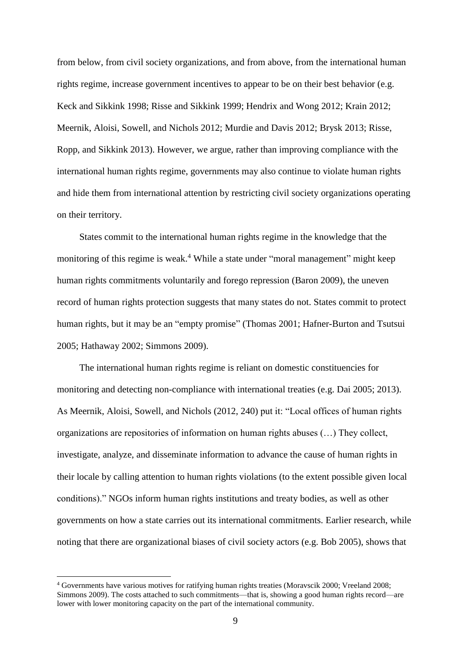from below, from civil society organizations, and from above, from the international human rights regime, increase government incentives to appear to be on their best behavior (e.g. Keck and Sikkink 1998; Risse and Sikkink 1999; Hendrix and Wong 2012; Krain 2012; Meernik, Aloisi, Sowell, and Nichols 2012; Murdie and Davis 2012; Brysk 2013; Risse, Ropp, and Sikkink 2013). However, we argue, rather than improving compliance with the international human rights regime, governments may also continue to violate human rights and hide them from international attention by restricting civil society organizations operating on their territory.

States commit to the international human rights regime in the knowledge that the monitoring of this regime is weak.<sup>4</sup> While a state under "moral management" might keep human rights commitments voluntarily and forego repression (Baron 2009), the uneven record of human rights protection suggests that many states do not. States commit to protect human rights, but it may be an "empty promise" (Thomas 2001; Hafner-Burton and Tsutsui 2005; Hathaway 2002; Simmons 2009).

The international human rights regime is reliant on domestic constituencies for monitoring and detecting non-compliance with international treaties (e.g. Dai 2005; 2013). As Meernik, Aloisi, Sowell, and Nichols (2012, 240) put it: "Local offices of human rights organizations are repositories of information on human rights abuses (…) They collect, investigate, analyze, and disseminate information to advance the cause of human rights in their locale by calling attention to human rights violations (to the extent possible given local conditions)." NGOs inform human rights institutions and treaty bodies, as well as other governments on how a state carries out its international commitments. Earlier research, while noting that there are organizational biases of civil society actors (e.g. Bob 2005), shows that

<sup>4</sup> Governments have various motives for ratifying human rights treaties (Moravscik 2000; Vreeland 2008; Simmons 2009). The costs attached to such commitments—that is, showing a good human rights record—are lower with lower monitoring capacity on the part of the international community.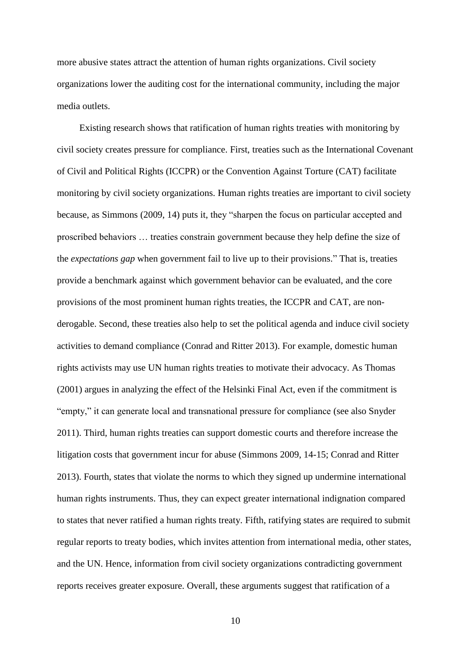more abusive states attract the attention of human rights organizations. Civil society organizations lower the auditing cost for the international community, including the major media outlets.

Existing research shows that ratification of human rights treaties with monitoring by civil society creates pressure for compliance. First, treaties such as the International Covenant of Civil and Political Rights (ICCPR) or the Convention Against Torture (CAT) facilitate monitoring by civil society organizations. Human rights treaties are important to civil society because, as Simmons (2009, 14) puts it, they "sharpen the focus on particular accepted and proscribed behaviors … treaties constrain government because they help define the size of the *expectations gap* when government fail to live up to their provisions." That is, treaties provide a benchmark against which government behavior can be evaluated, and the core provisions of the most prominent human rights treaties, the ICCPR and CAT, are nonderogable. Second, these treaties also help to set the political agenda and induce civil society activities to demand compliance (Conrad and Ritter 2013). For example, domestic human rights activists may use UN human rights treaties to motivate their advocacy. As Thomas (2001) argues in analyzing the effect of the Helsinki Final Act, even if the commitment is "empty," it can generate local and transnational pressure for compliance (see also Snyder 2011). Third, human rights treaties can support domestic courts and therefore increase the litigation costs that government incur for abuse (Simmons 2009, 14-15; Conrad and Ritter 2013). Fourth, states that violate the norms to which they signed up undermine international human rights instruments. Thus, they can expect greater international indignation compared to states that never ratified a human rights treaty. Fifth, ratifying states are required to submit regular reports to treaty bodies, which invites attention from international media, other states, and the UN. Hence, information from civil society organizations contradicting government reports receives greater exposure. Overall, these arguments suggest that ratification of a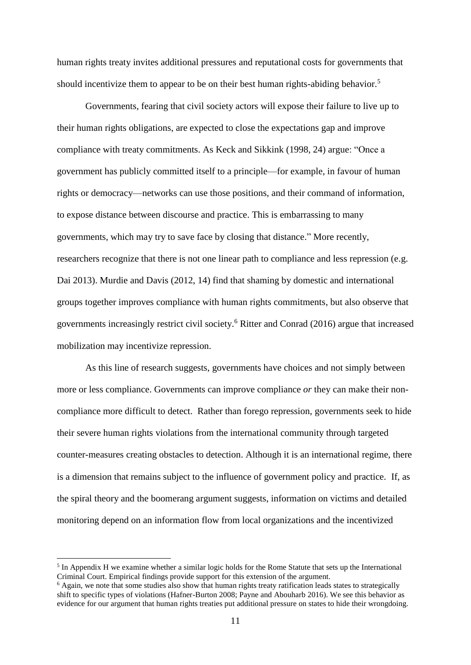human rights treaty invites additional pressures and reputational costs for governments that should incentivize them to appear to be on their best human rights-abiding behavior.<sup>5</sup>

Governments, fearing that civil society actors will expose their failure to live up to their human rights obligations, are expected to close the expectations gap and improve compliance with treaty commitments. As Keck and Sikkink (1998, 24) argue: "Once a government has publicly committed itself to a principle—for example, in favour of human rights or democracy—networks can use those positions, and their command of information, to expose distance between discourse and practice. This is embarrassing to many governments, which may try to save face by closing that distance." More recently, researchers recognize that there is not one linear path to compliance and less repression (e.g. Dai 2013). Murdie and Davis (2012, 14) find that shaming by domestic and international groups together improves compliance with human rights commitments, but also observe that governments increasingly restrict civil society.<sup>6</sup> Ritter and Conrad (2016) argue that increased mobilization may incentivize repression.

As this line of research suggests, governments have choices and not simply between more or less compliance. Governments can improve compliance *or* they can make their noncompliance more difficult to detect. Rather than forego repression, governments seek to hide their severe human rights violations from the international community through targeted counter-measures creating obstacles to detection. Although it is an international regime, there is a dimension that remains subject to the influence of government policy and practice. If, as the spiral theory and the boomerang argument suggests, information on victims and detailed monitoring depend on an information flow from local organizations and the incentivized

<sup>&</sup>lt;sup>5</sup> In Appendix H we examine whether a similar logic holds for the Rome Statute that sets up the International Criminal Court. Empirical findings provide support for this extension of the argument.

 $6$  Again, we note that some studies also show that human rights treaty ratification leads states to strategically shift to specific types of violations (Hafner-Burton 2008; Payne and Abouharb 2016). We see this behavior as evidence for our argument that human rights treaties put additional pressure on states to hide their wrongdoing.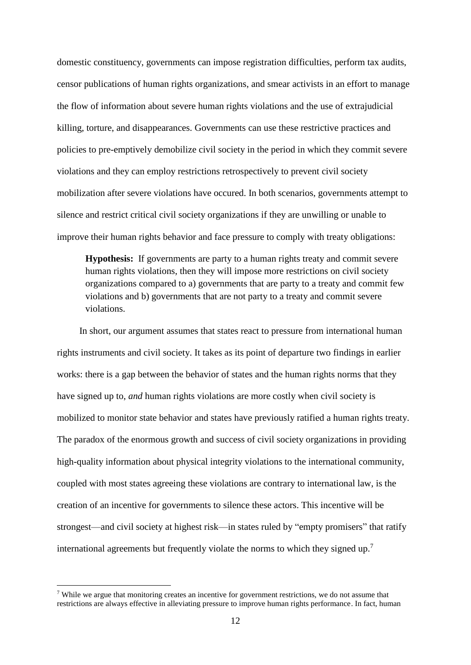domestic constituency, governments can impose registration difficulties, perform tax audits, censor publications of human rights organizations, and smear activists in an effort to manage the flow of information about severe human rights violations and the use of extrajudicial killing, torture, and disappearances. Governments can use these restrictive practices and policies to pre-emptively demobilize civil society in the period in which they commit severe violations and they can employ restrictions retrospectively to prevent civil society mobilization after severe violations have occured. In both scenarios, governments attempt to silence and restrict critical civil society organizations if they are unwilling or unable to improve their human rights behavior and face pressure to comply with treaty obligations:

**Hypothesis:** If governments are party to a human rights treaty and commit severe human rights violations, then they will impose more restrictions on civil society organizations compared to a) governments that are party to a treaty and commit few violations and b) governments that are not party to a treaty and commit severe violations.

In short, our argument assumes that states react to pressure from international human rights instruments and civil society. It takes as its point of departure two findings in earlier works: there is a gap between the behavior of states and the human rights norms that they have signed up to, *and* human rights violations are more costly when civil society is mobilized to monitor state behavior and states have previously ratified a human rights treaty. The paradox of the enormous growth and success of civil society organizations in providing high-quality information about physical integrity violations to the international community, coupled with most states agreeing these violations are contrary to international law, is the creation of an incentive for governments to silence these actors. This incentive will be strongest—and civil society at highest risk—in states ruled by "empty promisers" that ratify international agreements but frequently violate the norms to which they signed up.<sup>7</sup>

<sup>7</sup> While we argue that monitoring creates an incentive for government restrictions, we do not assume that restrictions are always effective in alleviating pressure to improve human rights performance. In fact, human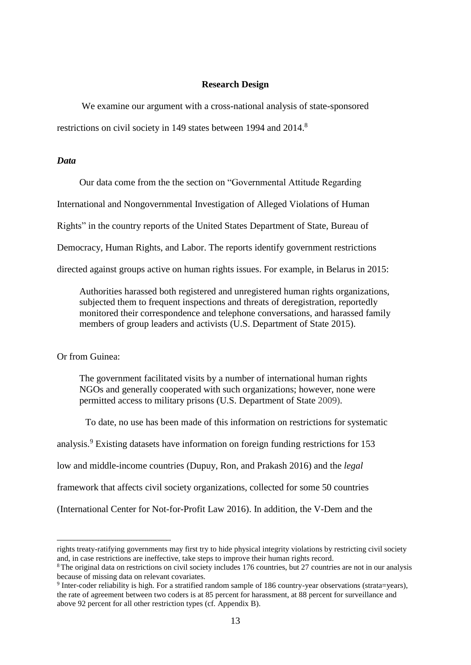#### **Research Design**

We examine our argument with a cross-national analysis of state-sponsored restrictions on civil society in 149 states between 1994 and 2014.<sup>8</sup>

# *Data*

Our data come from the the section on "Governmental Attitude Regarding

International and Nongovernmental Investigation of Alleged Violations of Human

Rights" in the country reports of the United States Department of State, Bureau of

Democracy, Human Rights, and Labor. The reports identify government restrictions

directed against groups active on human rights issues. For example, in Belarus in 2015:

Authorities harassed both registered and unregistered human rights organizations, subjected them to frequent inspections and threats of deregistration, reportedly monitored their correspondence and telephone conversations, and harassed family members of group leaders and activists (U.S. Department of State 2015).

Or from Guinea:

1

The government facilitated visits by a number of international human rights NGOs and generally cooperated with such organizations; however, none were permitted access to military prisons (U.S. Department of State 2009).

To date, no use has been made of this information on restrictions for systematic analysis. <sup>9</sup> Existing datasets have information on foreign funding restrictions for 153 low and middle-income countries (Dupuy, Ron, and Prakash 2016) and the *legal* framework that affects civil society organizations, collected for some 50 countries (International Center for Not-for-Profit Law 2016). In addition, the V-Dem and the

rights treaty-ratifying governments may first try to hide physical integrity violations by restricting civil society and, in case restrictions are ineffective, take steps to improve their human rights record.

<sup>8</sup> The original data on restrictions on civil society includes 176 countries, but 27 countries are not in our analysis because of missing data on relevant covariates.

<sup>9</sup> Inter-coder reliability is high. For a stratified random sample of 186 country-year observations (strata=years), the rate of agreement between two coders is at 85 percent for harassment, at 88 percent for surveillance and above 92 percent for all other restriction types (cf. Appendix B).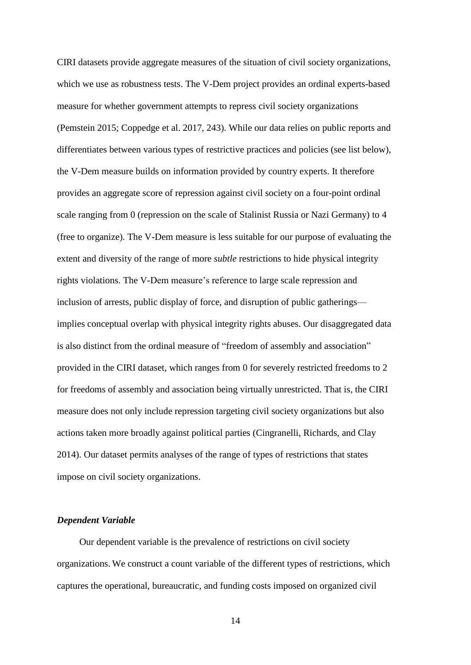CIRI datasets provide aggregate measures of the situation of civil society organizations, which we use as robustness tests. The V-Dem project provides an ordinal experts-based measure for whether government attempts to repress civil society organizations (Pemstein 2015; Coppedge et al. 2017, 243). While our data relies on public reports and differentiates between various types of restrictive practices and policies (see list below), the V-Dem measure builds on information provided by country experts. It therefore provides an aggregate score of repression against civil society on a four-point ordinal scale ranging from 0 (repression on the scale of Stalinist Russia or Nazi Germany) to 4 (free to organize). The V-Dem measure is less suitable for our purpose of evaluating the extent and diversity of the range of more *subtle* restrictions to hide physical integrity rights violations. The V-Dem measure's reference to large scale repression and inclusion of arrests, public display of force, and disruption of public gatherings implies conceptual overlap with physical integrity rights abuses. Our disaggregated data is also distinct from the ordinal measure of "freedom of assembly and association" provided in the CIRI dataset, which ranges from 0 for severely restricted freedoms to 2 for freedoms of assembly and association being virtually unrestricted. That is, the CIRI measure does not only include repression targeting civil society organizations but also actions taken more broadly against political parties (Cingranelli, Richards, and Clay 2014). Our dataset permits analyses of the range of types of restrictions that states impose on civil society organizations.

## *Dependent Variable*

Our dependent variable is the prevalence of restrictions on civil society organizations. We construct a count variable of the different types of restrictions, which captures the operational, bureaucratic, and funding costs imposed on organized civil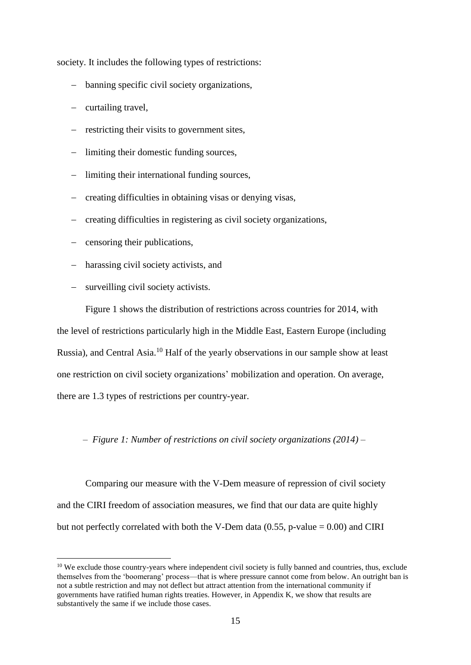society. It includes the following types of restrictions:

- banning specific civil society organizations,
- $-$  curtailing travel,
- restricting their visits to government sites,
- limiting their domestic funding sources,
- limiting their international funding sources,
- creating difficulties in obtaining visas or denying visas,
- creating difficulties in registering as civil society organizations,
- censoring their publications,
- harassing civil society activists, and
- surveilling civil society activists.

1

Figure 1 shows the distribution of restrictions across countries for 2014, with the level of restrictions particularly high in the Middle East, Eastern Europe (including Russia), and Central Asia.<sup>10</sup> Half of the yearly observations in our sample show at least one restriction on civil society organizations' mobilization and operation. On average, there are 1.3 types of restrictions per country-year.

– *Figure 1: Number of restrictions on civil society organizations (2014)* –

Comparing our measure with the V-Dem measure of repression of civil society and the CIRI freedom of association measures, we find that our data are quite highly but not perfectly correlated with both the V-Dem data  $(0.55, p-value = 0.00)$  and CIRI

<sup>&</sup>lt;sup>10</sup> We exclude those country-years where independent civil society is fully banned and countries, thus, exclude themselves from the 'boomerang' process—that is where pressure cannot come from below. An outright ban is not a subtle restriction and may not deflect but attract attention from the international community if governments have ratified human rights treaties. However, in Appendix K, we show that results are substantively the same if we include those cases.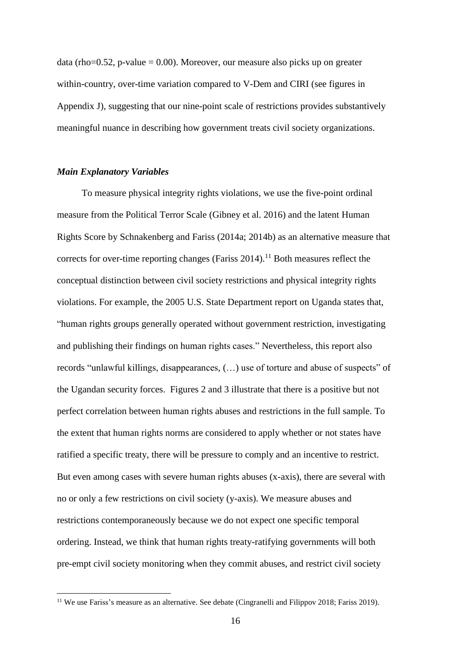data (rho=0.52, p-value = 0.00). Moreover, our measure also picks up on greater within-country, over-time variation compared to V-Dem and CIRI (see figures in Appendix J), suggesting that our nine-point scale of restrictions provides substantively meaningful nuance in describing how government treats civil society organizations.

### *Main Explanatory Variables*

1

To measure physical integrity rights violations, we use the five-point ordinal measure from the Political Terror Scale (Gibney et al. 2016) and the latent Human Rights Score by Schnakenberg and Fariss (2014a; 2014b) as an alternative measure that corrects for over-time reporting changes (Fariss 2014).<sup>11</sup> Both measures reflect the conceptual distinction between civil society restrictions and physical integrity rights violations. For example, the 2005 U.S. State Department report on Uganda states that, "human rights groups generally operated without government restriction, investigating and publishing their findings on human rights cases." Nevertheless, this report also records "unlawful killings, disappearances, (…) use of torture and abuse of suspects" of the Ugandan security forces. Figures 2 and 3 illustrate that there is a positive but not perfect correlation between human rights abuses and restrictions in the full sample. To the extent that human rights norms are considered to apply whether or not states have ratified a specific treaty, there will be pressure to comply and an incentive to restrict. But even among cases with severe human rights abuses (x-axis), there are several with no or only a few restrictions on civil society (y-axis). We measure abuses and restrictions contemporaneously because we do not expect one specific temporal ordering. Instead, we think that human rights treaty-ratifying governments will both pre-empt civil society monitoring when they commit abuses, and restrict civil society

<sup>&</sup>lt;sup>11</sup> We use Fariss's measure as an alternative. See debate (Cingranelli and Filippov 2018; Fariss 2019).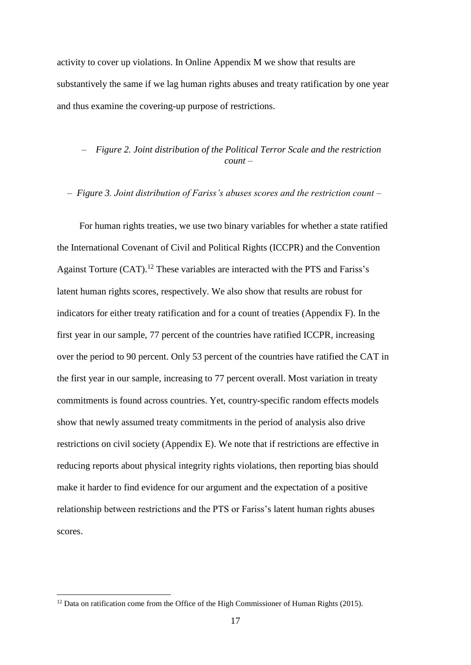activity to cover up violations. In Online Appendix M we show that results are substantively the same if we lag human rights abuses and treaty ratification by one year and thus examine the covering-up purpose of restrictions.

# – *Figure 2. Joint distribution of the Political Terror Scale and the restriction count –*

*– Figure 3. Joint distribution of Fariss's abuses scores and the restriction count –*

For human rights treaties, we use two binary variables for whether a state ratified the International Covenant of Civil and Political Rights (ICCPR) and the Convention Against Torture (CAT).<sup>12</sup> These variables are interacted with the PTS and Fariss's latent human rights scores, respectively. We also show that results are robust for indicators for either treaty ratification and for a count of treaties (Appendix F). In the first year in our sample, 77 percent of the countries have ratified ICCPR, increasing over the period to 90 percent. Only 53 percent of the countries have ratified the CAT in the first year in our sample, increasing to 77 percent overall. Most variation in treaty commitments is found across countries. Yet, country-specific random effects models show that newly assumed treaty commitments in the period of analysis also drive restrictions on civil society (Appendix E). We note that if restrictions are effective in reducing reports about physical integrity rights violations, then reporting bias should make it harder to find evidence for our argument and the expectation of a positive relationship between restrictions and the PTS or Fariss's latent human rights abuses scores.

<u>.</u>

 $12$  Data on ratification come from the Office of the High Commissioner of Human Rights (2015).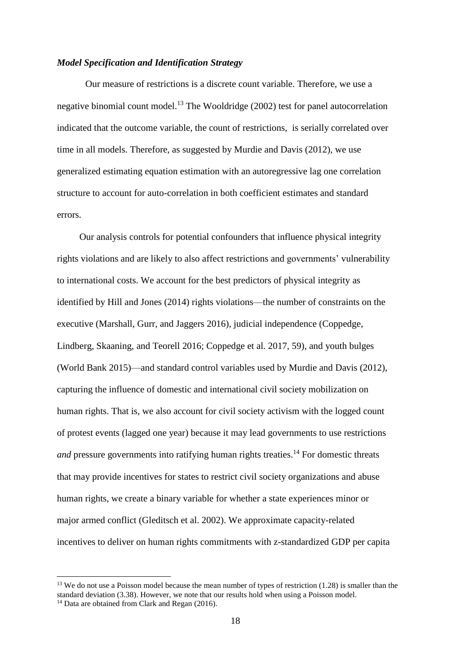## *Model Specification and Identification Strategy*

Our measure of restrictions is a discrete count variable. Therefore, we use a negative binomial count model.<sup>13</sup> The Wooldridge  $(2002)$  test for panel autocorrelation indicated that the outcome variable, the count of restrictions, is serially correlated over time in all models. Therefore, as suggested by Murdie and Davis (2012), we use generalized estimating equation estimation with an autoregressive lag one correlation structure to account for auto-correlation in both coefficient estimates and standard errors.

Our analysis controls for potential confounders that influence physical integrity rights violations and are likely to also affect restrictions and governments' vulnerability to international costs. We account for the best predictors of physical integrity as identified by Hill and Jones (2014) rights violations—the number of constraints on the executive (Marshall, Gurr, and Jaggers 2016), judicial independence (Coppedge, Lindberg, Skaaning, and Teorell 2016; Coppedge et al. 2017, 59), and youth bulges (World Bank 2015)—and standard control variables used by Murdie and Davis (2012), capturing the influence of domestic and international civil society mobilization on human rights. That is, we also account for civil society activism with the logged count of protest events (lagged one year) because it may lead governments to use restrictions *and* pressure governments into ratifying human rights treaties.<sup>14</sup> For domestic threats that may provide incentives for states to restrict civil society organizations and abuse human rights, we create a binary variable for whether a state experiences minor or major armed conflict (Gleditsch et al. 2002). We approximate capacity-related incentives to deliver on human rights commitments with z-standardized GDP per capita

<sup>&</sup>lt;sup>13</sup> We do not use a Poisson model because the mean number of types of restriction  $(1.28)$  is smaller than the standard deviation (3.38). However, we note that our results hold when using a Poisson model.

<sup>&</sup>lt;sup>14</sup> Data are obtained from Clark and Regan (2016).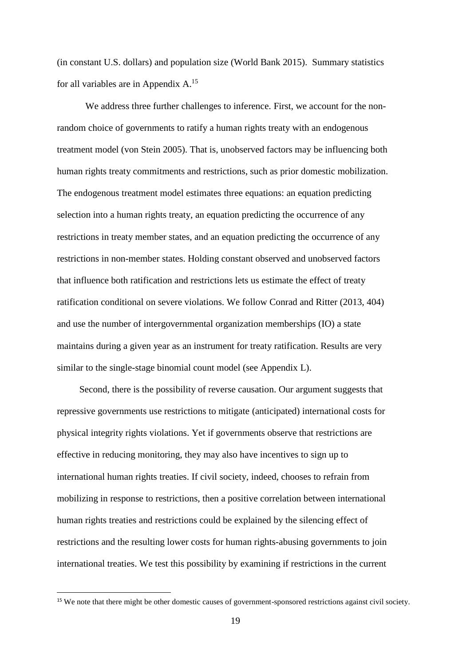(in constant U.S. dollars) and population size (World Bank 2015). Summary statistics for all variables are in Appendix A.<sup>15</sup>

We address three further challenges to inference. First, we account for the nonrandom choice of governments to ratify a human rights treaty with an endogenous treatment model (von Stein 2005). That is, unobserved factors may be influencing both human rights treaty commitments and restrictions, such as prior domestic mobilization. The endogenous treatment model estimates three equations: an equation predicting selection into a human rights treaty, an equation predicting the occurrence of any restrictions in treaty member states, and an equation predicting the occurrence of any restrictions in non-member states. Holding constant observed and unobserved factors that influence both ratification and restrictions lets us estimate the effect of treaty ratification conditional on severe violations. We follow Conrad and Ritter (2013, 404) and use the number of intergovernmental organization memberships (IO) a state maintains during a given year as an instrument for treaty ratification. Results are very similar to the single-stage binomial count model (see Appendix L).

Second, there is the possibility of reverse causation. Our argument suggests that repressive governments use restrictions to mitigate (anticipated) international costs for physical integrity rights violations. Yet if governments observe that restrictions are effective in reducing monitoring, they may also have incentives to sign up to international human rights treaties. If civil society, indeed, chooses to refrain from mobilizing in response to restrictions, then a positive correlation between international human rights treaties and restrictions could be explained by the silencing effect of restrictions and the resulting lower costs for human rights-abusing governments to join international treaties. We test this possibility by examining if restrictions in the current

<sup>&</sup>lt;sup>15</sup> We note that there might be other domestic causes of government-sponsored restrictions against civil society.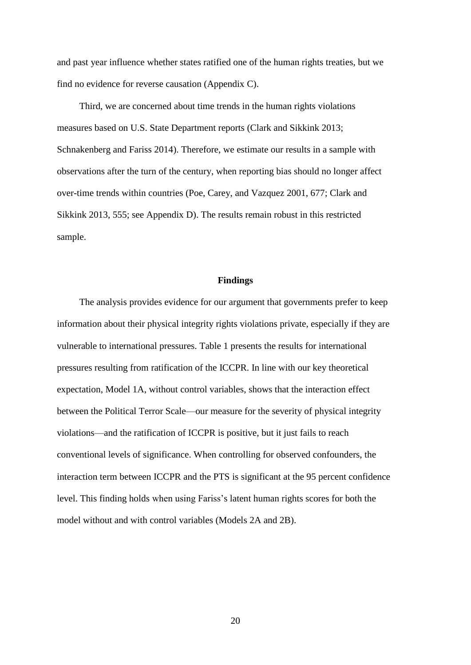and past year influence whether states ratified one of the human rights treaties, but we find no evidence for reverse causation (Appendix C).

Third, we are concerned about time trends in the human rights violations measures based on U.S. State Department reports (Clark and Sikkink 2013; Schnakenberg and Fariss 2014). Therefore, we estimate our results in a sample with observations after the turn of the century, when reporting bias should no longer affect over-time trends within countries (Poe, Carey, and Vazquez 2001, 677; Clark and Sikkink 2013, 555; see Appendix D). The results remain robust in this restricted sample.

### **Findings**

The analysis provides evidence for our argument that governments prefer to keep information about their physical integrity rights violations private, especially if they are vulnerable to international pressures. Table 1 presents the results for international pressures resulting from ratification of the ICCPR. In line with our key theoretical expectation, Model 1A, without control variables, shows that the interaction effect between the Political Terror Scale—our measure for the severity of physical integrity violations—and the ratification of ICCPR is positive, but it just fails to reach conventional levels of significance. When controlling for observed confounders, the interaction term between ICCPR and the PTS is significant at the 95 percent confidence level. This finding holds when using Fariss's latent human rights scores for both the model without and with control variables (Models 2A and 2B).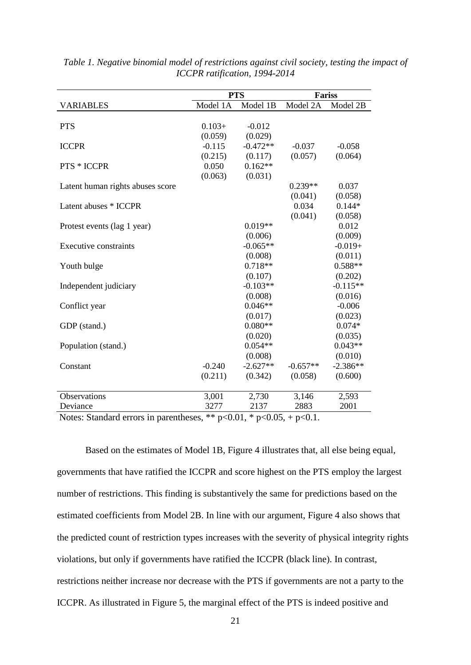|                                  | <b>PTS</b> |            | <b>Fariss</b> |            |
|----------------------------------|------------|------------|---------------|------------|
| <b>VARIABLES</b>                 | Model 1A   | Model 1B   | Model 2A      | Model 2B   |
|                                  |            |            |               |            |
| <b>PTS</b>                       | $0.103+$   | $-0.012$   |               |            |
|                                  | (0.059)    | (0.029)    |               |            |
| <b>ICCPR</b>                     | $-0.115$   | $-0.472**$ | $-0.037$      | $-0.058$   |
|                                  | (0.215)    | (0.117)    | (0.057)       | (0.064)    |
| <b>PTS * ICCPR</b>               | 0.050      | $0.162**$  |               |            |
|                                  | (0.063)    | (0.031)    |               |            |
| Latent human rights abuses score |            |            | $0.239**$     | 0.037      |
|                                  |            |            | (0.041)       | (0.058)    |
| Latent abuses * ICCPR            |            |            | 0.034         | $0.144*$   |
|                                  |            |            | (0.041)       | (0.058)    |
| Protest events (lag 1 year)      |            | $0.019**$  |               | 0.012      |
|                                  |            | (0.006)    |               | (0.009)    |
| <b>Executive constraints</b>     |            | $-0.065**$ |               | $-0.019+$  |
|                                  |            | (0.008)    |               | (0.011)    |
| Youth bulge                      |            | $0.718**$  |               | $0.588**$  |
|                                  |            | (0.107)    |               | (0.202)    |
| Independent judiciary            |            | $-0.103**$ |               | $-0.115**$ |
|                                  |            | (0.008)    |               | (0.016)    |
| Conflict year                    |            | $0.046**$  |               | $-0.006$   |
|                                  |            | (0.017)    |               | (0.023)    |
| GDP (stand.)                     |            | $0.080**$  |               | $0.074*$   |
|                                  |            | (0.020)    |               | (0.035)    |
| Population (stand.)              |            | $0.054**$  |               | $0.043**$  |
|                                  |            | (0.008)    |               | (0.010)    |
| Constant                         | $-0.240$   | $-2.627**$ | $-0.657**$    | $-2.386**$ |
|                                  | (0.211)    | (0.342)    | (0.058)       | (0.600)    |
|                                  |            |            |               |            |
| Observations                     | 3,001      | 2,730      | 3,146         | 2,593      |
| Deviance                         | 3277       | 2137       | 2883          | 2001       |

*Table 1. Negative binomial model of restrictions against civil society, testing the impact of ICCPR ratification, 1994-2014*

Notes: Standard errors in parentheses, \*\*  $p<0.01$ , \*  $p<0.05$ , +  $p<0.1$ .

Based on the estimates of Model 1B, Figure 4 illustrates that, all else being equal, governments that have ratified the ICCPR and score highest on the PTS employ the largest number of restrictions. This finding is substantively the same for predictions based on the estimated coefficients from Model 2B. In line with our argument, Figure 4 also shows that the predicted count of restriction types increases with the severity of physical integrity rights violations, but only if governments have ratified the ICCPR (black line). In contrast, restrictions neither increase nor decrease with the PTS if governments are not a party to the ICCPR. As illustrated in Figure 5, the marginal effect of the PTS is indeed positive and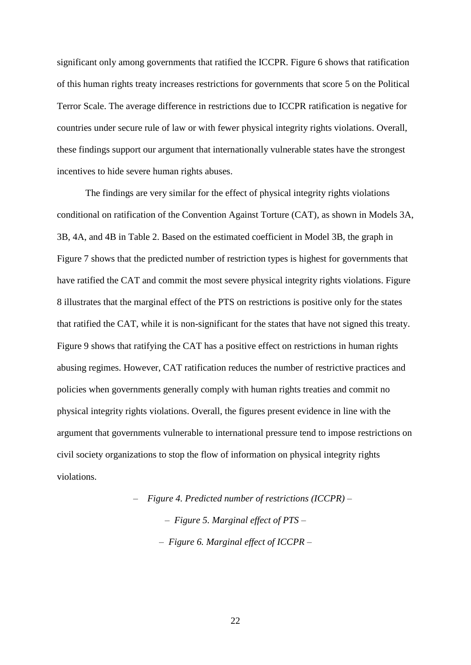significant only among governments that ratified the ICCPR. Figure 6 shows that ratification of this human rights treaty increases restrictions for governments that score 5 on the Political Terror Scale. The average difference in restrictions due to ICCPR ratification is negative for countries under secure rule of law or with fewer physical integrity rights violations. Overall, these findings support our argument that internationally vulnerable states have the strongest incentives to hide severe human rights abuses.

The findings are very similar for the effect of physical integrity rights violations conditional on ratification of the Convention Against Torture (CAT), as shown in Models 3A, 3B, 4A, and 4B in Table 2. Based on the estimated coefficient in Model 3B, the graph in Figure 7 shows that the predicted number of restriction types is highest for governments that have ratified the CAT and commit the most severe physical integrity rights violations. Figure 8 illustrates that the marginal effect of the PTS on restrictions is positive only for the states that ratified the CAT, while it is non-significant for the states that have not signed this treaty. Figure 9 shows that ratifying the CAT has a positive effect on restrictions in human rights abusing regimes. However, CAT ratification reduces the number of restrictive practices and policies when governments generally comply with human rights treaties and commit no physical integrity rights violations. Overall, the figures present evidence in line with the argument that governments vulnerable to international pressure tend to impose restrictions on civil society organizations to stop the flow of information on physical integrity rights violations.

> – *Figure 4. Predicted number of restrictions (ICCPR) – – Figure 5. Marginal effect of PTS – – Figure 6. Marginal effect of ICCPR –*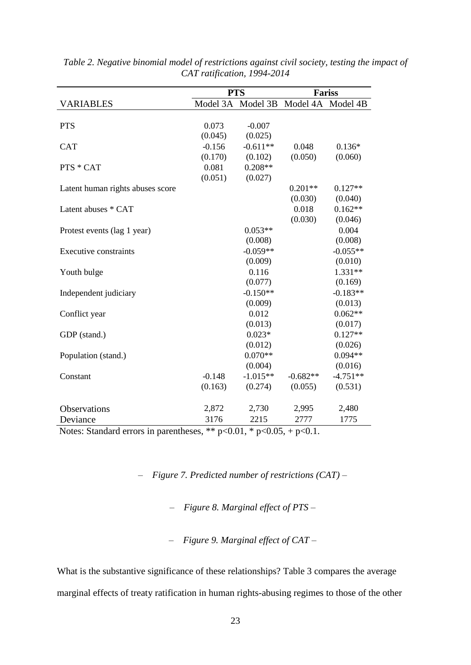|                                  |          | <b>PTS</b>        |                   | <b>Fariss</b> |  |
|----------------------------------|----------|-------------------|-------------------|---------------|--|
| <b>VARIABLES</b>                 |          | Model 3A Model 3B | Model 4A Model 4B |               |  |
|                                  |          |                   |                   |               |  |
| <b>PTS</b>                       | 0.073    | $-0.007$          |                   |               |  |
|                                  | (0.045)  | (0.025)           |                   |               |  |
| <b>CAT</b>                       | $-0.156$ | $-0.611**$        | 0.048             | $0.136*$      |  |
|                                  | (0.170)  | (0.102)           | (0.050)           | (0.060)       |  |
| PTS * CAT                        | 0.081    | $0.208**$         |                   |               |  |
|                                  | (0.051)  | (0.027)           |                   |               |  |
| Latent human rights abuses score |          |                   | $0.201**$         | $0.127**$     |  |
|                                  |          |                   | (0.030)           | (0.040)       |  |
| Latent abuses * CAT              |          |                   | 0.018             | $0.162**$     |  |
|                                  |          |                   | (0.030)           | (0.046)       |  |
| Protest events (lag 1 year)      |          | $0.053**$         |                   | 0.004         |  |
|                                  |          | (0.008)           |                   | (0.008)       |  |
| <b>Executive constraints</b>     |          | $-0.059**$        |                   | $-0.055**$    |  |
|                                  |          | (0.009)           |                   | (0.010)       |  |
| Youth bulge                      |          | 0.116             |                   | 1.331**       |  |
|                                  |          | (0.077)           |                   | (0.169)       |  |
| Independent judiciary            |          | $-0.150**$        |                   | $-0.183**$    |  |
|                                  |          | (0.009)           |                   | (0.013)       |  |
| Conflict year                    |          | 0.012             |                   | $0.062**$     |  |
|                                  |          | (0.013)           |                   | (0.017)       |  |
| GDP (stand.)                     |          | $0.023*$          |                   | $0.127**$     |  |
|                                  |          | (0.012)           |                   | (0.026)       |  |
| Population (stand.)              |          | $0.070**$         |                   | $0.094**$     |  |
|                                  |          | (0.004)           |                   | (0.016)       |  |
| Constant                         | $-0.148$ | $-1.015**$        | $-0.682**$        | $-4.751**$    |  |
|                                  | (0.163)  | (0.274)           | (0.055)           | (0.531)       |  |
| Observations                     | 2,872    | 2,730             | 2,995             | 2,480         |  |
| Deviance                         | 3176     | 2215              | 2777              | 1775          |  |

*Table 2. Negative binomial model of restrictions against civil society, testing the impact of CAT ratification, 1994-2014*

Notes: Standard errors in parentheses, \*\*  $p<0.01$ , \*  $p<0.05$ , +  $p<0.1$ .

– *Figure 7. Predicted number of restrictions (CAT) –*

– *Figure 8. Marginal effect of PTS –*

– *Figure 9. Marginal effect of CAT –*

What is the substantive significance of these relationships? Table 3 compares the average marginal effects of treaty ratification in human rights-abusing regimes to those of the other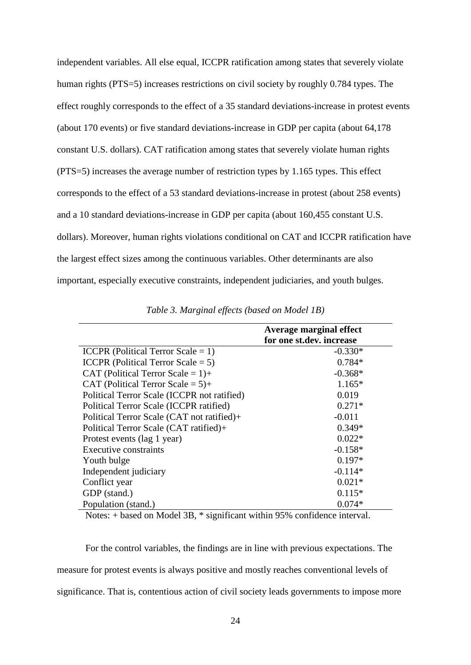independent variables. All else equal, ICCPR ratification among states that severely violate human rights (PTS=5) increases restrictions on civil society by roughly 0.784 types. The effect roughly corresponds to the effect of a 35 standard deviations-increase in protest events (about 170 events) or five standard deviations-increase in GDP per capita (about 64,178 constant U.S. dollars). CAT ratification among states that severely violate human rights (PTS=5) increases the average number of restriction types by 1.165 types. This effect corresponds to the effect of a 53 standard deviations-increase in protest (about 258 events) and a 10 standard deviations-increase in GDP per capita (about 160,455 constant U.S. dollars). Moreover, human rights violations conditional on CAT and ICCPR ratification have the largest effect sizes among the continuous variables. Other determinants are also important, especially executive constraints, independent judiciaries, and youth bulges.

|                                             | Average marginal effect  |
|---------------------------------------------|--------------------------|
|                                             | for one st.dev. increase |
| ICCPR (Political Terror Scale = 1)          | $-0.330*$                |
| ICCPR (Political Terror Scale $= 5$ )       | $0.784*$                 |
| CAT (Political Terror Scale = $1$ )+        | $-0.368*$                |
| CAT (Political Terror Scale = $5$ )+        | $1.165*$                 |
| Political Terror Scale (ICCPR not ratified) | 0.019                    |
| Political Terror Scale (ICCPR ratified)     | $0.271*$                 |
| Political Terror Scale (CAT not ratified)+  | $-0.011$                 |
| Political Terror Scale (CAT ratified)+      | $0.349*$                 |
| Protest events (lag 1 year)                 | $0.022*$                 |
| Executive constraints                       | $-0.158*$                |
| Youth bulge                                 | $0.197*$                 |
| Independent judiciary                       | $-0.114*$                |
| Conflict year                               | $0.021*$                 |
| GDP (stand.)                                | $0.115*$                 |
| Population (stand.)                         | $0.074*$                 |

*Table 3. Marginal effects (based on Model 1B)*

Notes: + based on Model 3B, \* significant within 95% confidence interval.

For the control variables, the findings are in line with previous expectations. The measure for protest events is always positive and mostly reaches conventional levels of significance. That is, contentious action of civil society leads governments to impose more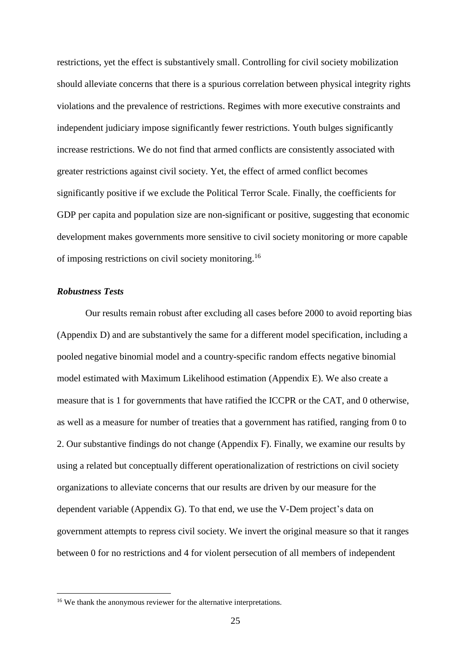restrictions, yet the effect is substantively small. Controlling for civil society mobilization should alleviate concerns that there is a spurious correlation between physical integrity rights violations and the prevalence of restrictions. Regimes with more executive constraints and independent judiciary impose significantly fewer restrictions. Youth bulges significantly increase restrictions. We do not find that armed conflicts are consistently associated with greater restrictions against civil society. Yet, the effect of armed conflict becomes significantly positive if we exclude the Political Terror Scale. Finally, the coefficients for GDP per capita and population size are non-significant or positive, suggesting that economic development makes governments more sensitive to civil society monitoring or more capable of imposing restrictions on civil society monitoring.<sup>16</sup>

# *Robustness Tests*

1

Our results remain robust after excluding all cases before 2000 to avoid reporting bias (Appendix D) and are substantively the same for a different model specification, including a pooled negative binomial model and a country-specific random effects negative binomial model estimated with Maximum Likelihood estimation (Appendix E). We also create a measure that is 1 for governments that have ratified the ICCPR or the CAT, and 0 otherwise, as well as a measure for number of treaties that a government has ratified, ranging from 0 to 2. Our substantive findings do not change (Appendix F). Finally, we examine our results by using a related but conceptually different operationalization of restrictions on civil society organizations to alleviate concerns that our results are driven by our measure for the dependent variable (Appendix G). To that end, we use the V-Dem project's data on government attempts to repress civil society. We invert the original measure so that it ranges between 0 for no restrictions and 4 for violent persecution of all members of independent

<sup>&</sup>lt;sup>16</sup> We thank the anonymous reviewer for the alternative interpretations.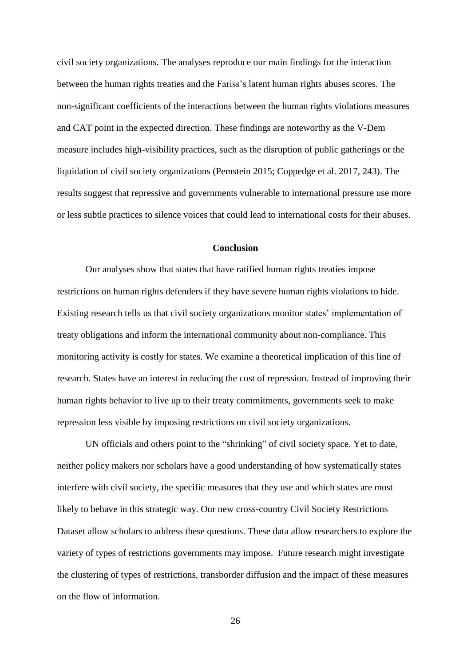civil society organizations. The analyses reproduce our main findings for the interaction between the human rights treaties and the Fariss's latent human rights abuses scores. The non-significant coefficients of the interactions between the human rights violations measures and CAT point in the expected direction. These findings are noteworthy as the V-Dem measure includes high-visibility practices, such as the disruption of public gatherings or the liquidation of civil society organizations (Pemstein 2015; Coppedge et al. 2017, 243). The results suggest that repressive and governments vulnerable to international pressure use more or less subtle practices to silence voices that could lead to international costs for their abuses.

#### **Conclusion**

Our analyses show that states that have ratified human rights treaties impose restrictions on human rights defenders if they have severe human rights violations to hide. Existing research tells us that civil society organizations monitor states' implementation of treaty obligations and inform the international community about non-compliance. This monitoring activity is costly for states. We examine a theoretical implication of this line of research. States have an interest in reducing the cost of repression. Instead of improving their human rights behavior to live up to their treaty commitments, governments seek to make repression less visible by imposing restrictions on civil society organizations.

UN officials and others point to the "shrinking" of civil society space. Yet to date, neither policy makers nor scholars have a good understanding of how systematically states interfere with civil society, the specific measures that they use and which states are most likely to behave in this strategic way. Our new cross-country Civil Society Restrictions Dataset allow scholars to address these questions. These data allow researchers to explore the variety of types of restrictions governments may impose. Future research might investigate the clustering of types of restrictions, transborder diffusion and the impact of these measures on the flow of information.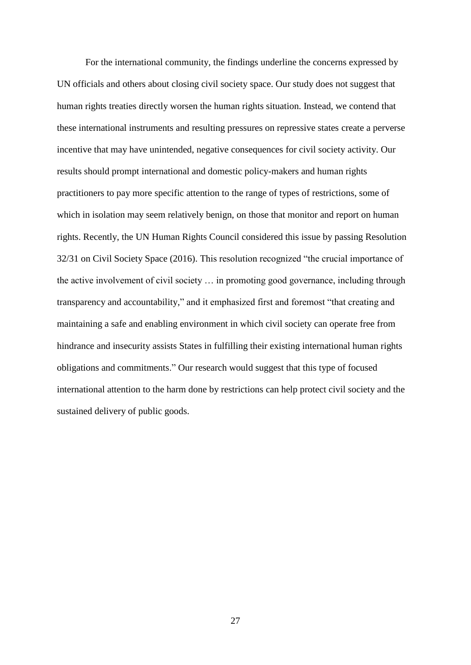For the international community, the findings underline the concerns expressed by UN officials and others about closing civil society space. Our study does not suggest that human rights treaties directly worsen the human rights situation. Instead, we contend that these international instruments and resulting pressures on repressive states create a perverse incentive that may have unintended, negative consequences for civil society activity. Our results should prompt international and domestic policy-makers and human rights practitioners to pay more specific attention to the range of types of restrictions, some of which in isolation may seem relatively benign, on those that monitor and report on human rights. Recently, the UN Human Rights Council considered this issue by passing Resolution 32/31 on Civil Society Space (2016). This resolution recognized "the crucial importance of the active involvement of civil society … in promoting good governance, including through transparency and accountability," and it emphasized first and foremost "that creating and maintaining a safe and enabling environment in which civil society can operate free from hindrance and insecurity assists States in fulfilling their existing international human rights obligations and commitments." Our research would suggest that this type of focused international attention to the harm done by restrictions can help protect civil society and the sustained delivery of public goods.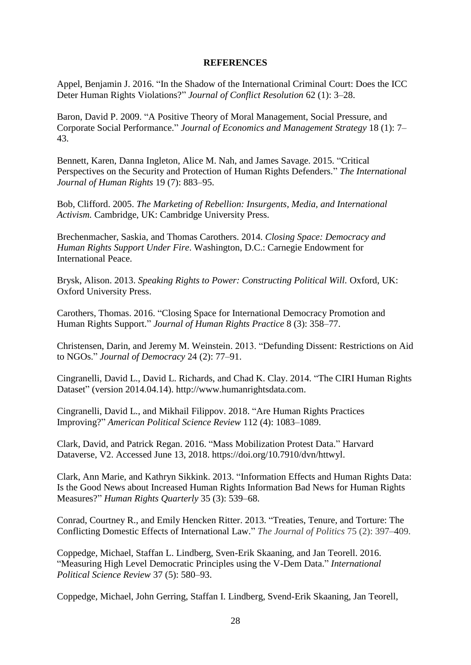## **REFERENCES**

Appel, Benjamin J. 2016. "In the Shadow of the International Criminal Court: Does the ICC Deter Human Rights Violations?" *Journal of Conflict Resolution* 62 (1): 3–28.

Baron, David P. 2009. "A Positive Theory of Moral Management, Social Pressure, and Corporate Social Performance." *Journal of Economics and Management Strategy* 18 (1): 7– 43.

Bennett, Karen, Danna Ingleton, Alice M. Nah, and James Savage. 2015. "Critical Perspectives on the Security and Protection of Human Rights Defenders." *The International Journal of Human Rights* 19 (7): 883–95.

Bob, Clifford. 2005. *The Marketing of Rebellion: Insurgents, Media, and International Activism.* Cambridge, UK: Cambridge University Press.

Brechenmacher, Saskia, and Thomas Carothers. 2014. *Closing Space: Democracy and Human Rights Support Under Fire*. Washington, D.C.: Carnegie Endowment for International Peace.

Brysk, Alison. 2013. *Speaking Rights to Power: Constructing Political Will.* Oxford, UK: Oxford University Press.

Carothers, Thomas. 2016. "Closing Space for International Democracy Promotion and Human Rights Support." *Journal of Human Rights Practice* 8 (3): 358–77.

Christensen, Darin, and Jeremy M. Weinstein. 2013. "Defunding Dissent: Restrictions on Aid to NGOs." *Journal of Democracy* 24 (2): 77–91.

Cingranelli, David L., David L. Richards, and Chad K. Clay. 2014. "The CIRI Human Rights Dataset" (version 2014.04.14). http://www.humanrightsdata.com.

Cingranelli, David L., and Mikhail Filippov. 2018. "Are Human Rights Practices Improving?" *American Political Science Review* 112 (4): 1083–1089.

Clark, David, and Patrick Regan. 2016. "Mass Mobilization Protest Data." Harvard Dataverse, V2. Accessed June 13, 2018. https://doi.org/10.7910/dvn/httwyl.

Clark, Ann Marie, and Kathryn Sikkink. 2013. "Information Effects and Human Rights Data: Is the Good News about Increased Human Rights Information Bad News for Human Rights Measures?" *Human Rights Quarterly* 35 (3): 539–68.

Conrad, Courtney R., and Emily Hencken Ritter. 2013. "Treaties, Tenure, and Torture: The Conflicting Domestic Effects of International Law." *The Journal of Politics* 75 (2): 397–409.

Coppedge, Michael, Staffan L. Lindberg, Sven-Erik Skaaning, and Jan Teorell. 2016. "Measuring High Level Democratic Principles using the V-Dem Data." *International Political Science Review* 37 (5): 580–93.

Coppedge, Michael, John Gerring, Staffan I. Lindberg, Svend-Erik Skaaning, Jan Teorell,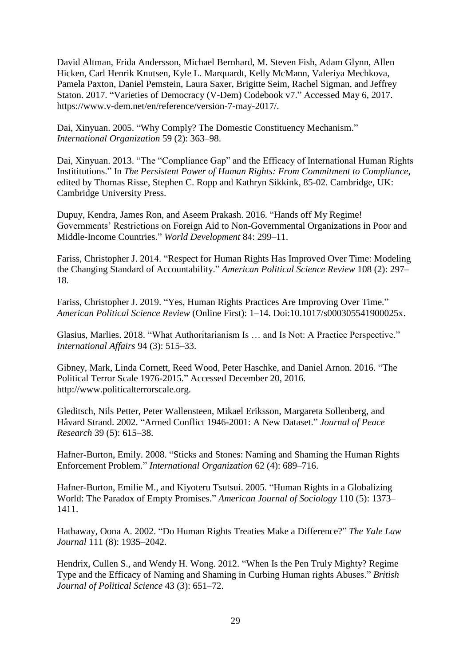David Altman, Frida Andersson, Michael Bernhard, M. Steven Fish, Adam Glynn, Allen Hicken, Carl Henrik Knutsen, Kyle L. Marquardt, Kelly McMann, Valeriya Mechkova, Pamela Paxton, Daniel Pemstein, Laura Saxer, Brigitte Seim, Rachel Sigman, and Jeffrey Staton. 2017. "Varieties of Democracy (V-Dem) Codebook v7." Accessed May 6, 2017. https://www.v-dem.net/en/reference/version-7-may-2017/.

Dai, Xinyuan. 2005. "Why Comply? The Domestic Constituency Mechanism." *International Organization* 59 (2): 363–98.

Dai, Xinyuan. 2013. "The "Compliance Gap" and the Efficacy of International Human Rights Instititutions." In *The Persistent Power of Human Rights: From Commitment to Compliance*, edited by Thomas Risse, Stephen C. Ropp and Kathryn Sikkink, 85-02*.* Cambridge, UK: Cambridge University Press.

Dupuy, Kendra, James Ron, and Aseem Prakash. 2016. "Hands off My Regime! Governments' Restrictions on Foreign Aid to Non-Governmental Organizations in Poor and Middle-Income Countries." *World Development* 84: 299–11.

Fariss, Christopher J. 2014. "Respect for Human Rights Has Improved Over Time: Modeling the Changing Standard of Accountability." *American Political Science Review* 108 (2): 297– 18.

Fariss, Christopher J. 2019. "Yes, Human Rights Practices Are Improving Over Time." *American Political Science Review* (Online First): 1–14. Doi:10.1017/s000305541900025x.

Glasius, Marlies. 2018. "What Authoritarianism Is … and Is Not: A Practice Perspective." *International Affairs* 94 (3): 515–33.

Gibney, Mark, Linda Cornett, Reed Wood, Peter Haschke, and Daniel Arnon. 2016. "The Political Terror Scale 1976-2015*.*" Accessed December 20, 2016. [http://www.politicalterrorscale.org.](http://www.politicalterrorscale.org/)

Gleditsch, Nils Petter, Peter Wallensteen, Mikael Eriksson, Margareta Sollenberg, and Håvard Strand. 2002. "Armed Conflict 1946-2001: A New Dataset." *Journal of Peace Research* 39 (5): 615–38.

Hafner-Burton, Emily. 2008. "Sticks and Stones: Naming and Shaming the Human Rights Enforcement Problem." *International Organization* 62 (4): 689–716.

Hafner-Burton, Emilie M., and Kiyoteru Tsutsui. 2005. "Human Rights in a Globalizing World: The Paradox of Empty Promises." *American Journal of Sociology* 110 (5): 1373– 1411.

Hathaway, Oona A. 2002. "Do Human Rights Treaties Make a Difference?" *The Yale Law Journal* 111 (8): 1935–2042.

Hendrix, Cullen S., and Wendy H. Wong. 2012. "When Is the Pen Truly Mighty? Regime Type and the Efficacy of Naming and Shaming in Curbing Human rights Abuses." *British Journal of Political Science* 43 (3): 651–72.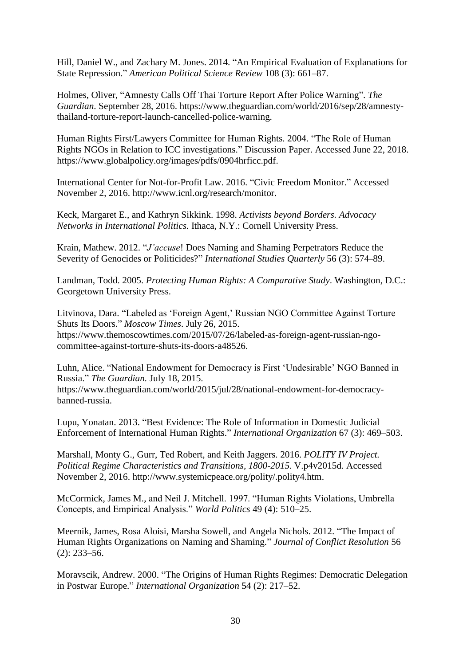Hill, Daniel W., and Zachary M. Jones. 2014. "An Empirical Evaluation of Explanations for State Repression." *American Political Science Review* 108 (3): 661–87.

Holmes, Oliver, "Amnesty Calls Off Thai Torture Report After Police Warning". *The Guardian*. September 28, 2016. https://www.theguardian.com/world/2016/sep/28/amnestythailand-torture-report-launch-cancelled-police-warning.

Human Rights First/Lawyers Committee for Human Rights. 2004. "The Role of Human Rights NGOs in Relation to ICC investigations." Discussion Paper. Accessed June 22, 2018. https://www.globalpolicy.org/images/pdfs/0904hrficc.pdf.

International Center for Not-for-Profit Law. 2016. "Civic Freedom Monitor." Accessed November 2, 2016. http://www.icnl.org/research/monitor.

Keck, Margaret E., and Kathryn Sikkink. 1998. *Activists beyond Borders. Advocacy Networks in International Politics.* Ithaca, N.Y.: Cornell University Press.

Krain, Mathew. 2012. "*J'accuse*! Does Naming and Shaming Perpetrators Reduce the Severity of Genocides or Politicides?" *International Studies Quarterly* 56 (3): 574–89.

Landman, Todd. 2005. *Protecting Human Rights: A Comparative Study*. Washington, D.C.: Georgetown University Press.

Litvinova, Dara. "Labeled as 'Foreign Agent,' Russian NGO Committee Against Torture Shuts Its Doors." *Moscow Times*. July 26, 2015. https://www.themoscowtimes.com/2015/07/26/labeled-as-foreign-agent-russian-ngocommittee-against-torture-shuts-its-doors-a48526.

Luhn, Alice. "National Endowment for Democracy is First 'Undesirable' NGO Banned in Russia." *The Guardian.* July 18, 2015. https://www.theguardian.com/world/2015/jul/28/national-endowment-for-democracybanned-russia.

Lupu, Yonatan. 2013. "Best Evidence: The Role of Information in Domestic Judicial Enforcement of International Human Rights." *International Organization* 67 (3): 469–503.

Marshall, Monty G., Gurr, Ted Robert, and Keith Jaggers. 2016. *POLITY IV Project. Political Regime Characteristics and Transitions, 1800-2015.* V.p4v2015d. Accessed November 2, 2016. http://www.systemicpeace.org/polity/.polity4.htm.

McCormick, James M., and Neil J. Mitchell. 1997. "Human Rights Violations, Umbrella Concepts, and Empirical Analysis." *World Politics* 49 (4): 510–25.

Meernik, James, Rosa Aloisi, Marsha Sowell, and Angela Nichols. 2012. "The Impact of Human Rights Organizations on Naming and Shaming." *Journal of Conflict Resolution* 56 (2): 233–56.

Moravscik, Andrew. 2000. "The Origins of Human Rights Regimes: Democratic Delegation in Postwar Europe." *International Organization* 54 (2): 217–52.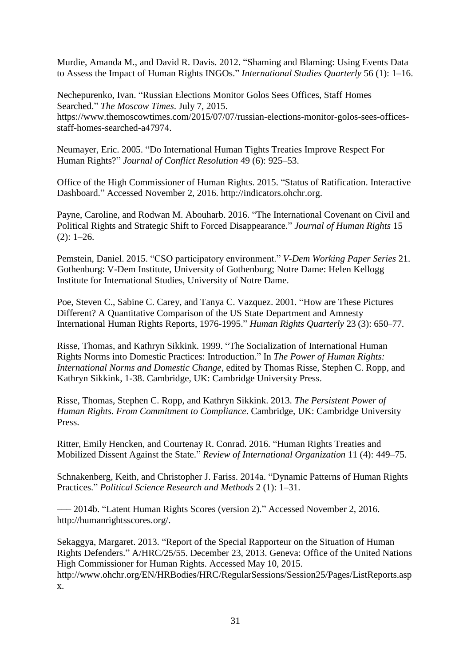Murdie, Amanda M., and David R. Davis. 2012. "Shaming and Blaming: Using Events Data to Assess the Impact of Human Rights INGOs." *International Studies Quarterly* 56 (1): 1–16.

Nechepurenko, Ivan. "Russian Elections Monitor Golos Sees Offices, Staff Homes Searched." *The Moscow Times*. July 7, 2015. https://www.themoscowtimes.com/2015/07/07/russian-elections-monitor-golos-sees-officesstaff-homes-searched-a47974.

Neumayer, Eric. 2005. "Do International Human Tights Treaties Improve Respect For Human Rights?" *Journal of Conflict Resolution* 49 (6): 925–53.

Office of the High Commissioner of Human Rights. 2015. "Status of Ratification. Interactive Dashboard." Accessed November 2, 2016. http://indicators.ohchr.org.

Payne, Caroline, and Rodwan M. Abouharb. 2016. "The International Covenant on Civil and Political Rights and Strategic Shift to Forced Disappearance." *Journal of Human Rights* 15  $(2): 1-26.$ 

Pemstein, Daniel. 2015. "CSO participatory environment." *V-Dem Working Paper Series* 21. Gothenburg: V-Dem Institute, University of Gothenburg; Notre Dame: Helen Kellogg Institute for International Studies, University of Notre Dame.

Poe, Steven C., Sabine C. Carey, and Tanya C. Vazquez. 2001. "How are These Pictures Different? A Quantitative Comparison of the US State Department and Amnesty International Human Rights Reports, 1976-1995." *Human Rights Quarterly* 23 (3): 650–77.

Risse, Thomas, and Kathryn Sikkink. 1999. "The Socialization of International Human Rights Norms into Domestic Practices: Introduction." In *The Power of Human Rights: International Norms and Domestic Change*, edited by Thomas Risse, Stephen C. Ropp, and Kathryn Sikkink, 1-38. Cambridge, UK: Cambridge University Press.

Risse, Thomas, Stephen C. Ropp, and Kathryn Sikkink. 2013. *The Persistent Power of Human Rights. From Commitment to Compliance*. Cambridge, UK: Cambridge University Press.

Ritter, Emily Hencken, and Courtenay R. Conrad. 2016. "Human Rights Treaties and Mobilized Dissent Against the State." *Review of International Organization* 11 (4): 449–75.

Schnakenberg, Keith, and Christopher J. Fariss. 2014a. "Dynamic Patterns of Human Rights Practices." *Political Science Research and Methods* 2 (1): 1–31.

––– 2014b. "Latent Human Rights Scores (version 2)." Accessed November 2, 2016. http://humanrightsscores.org/.

Sekaggya, Margaret. 2013. "Report of the Special Rapporteur on the Situation of Human Rights Defenders." A/HRC/25/55. December 23, 2013. Geneva: Office of the United Nations High Commissioner for Human Rights. Accessed May 10, 2015. http://www.ohchr.org/EN/HRBodies/HRC/RegularSessions/Session25/Pages/ListReports.asp x.